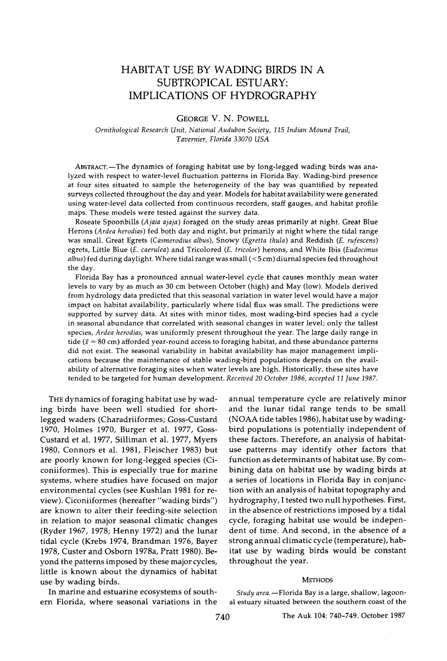# **HABITAT USE BY WADING BIRDS IN A SUBTROPICAL ESTUARY: IMPLICATIONS OF HYDROGRAPHY**

## **GEORGE V. N. POWELL**

**Ornithological Research Unit, National Audubon Society, 115 Indian Mound Trail, Tavernier, Florida 33070 USA** 

ABSTRACT.-The dynamics of foraging habitat use by long-legged wading birds was ana**lyzed with respect to water-level fluctuation patterns in Florida Bay. Wading-bird presence at four sites situated to sample the heterogeneity of the bay was quantified by repeated surveys collected throughout the day and year. Models for habitat availability were generated using water-level data collected from continuous recorders, staff gauges, and habitat profile maps. These models were tested against the survey data.** 

**Roseate Spoonbills (Ajaia ajaja) foraged on the study areas primarily at night. Great Blue Herons (Ardea herodias) fed both day and night, but primarily at night where the tidal range**  was small. Great Egrets (Casmerodius albus), Snowy (Egretta thula) and Reddish (E. rufescens) **egrets, Little Blue (E. caerulea) and Tricolored (E. tricolor) herons, and White Ibis (Eudocimus albus) fed during daylight. Where tidal range was small (< 5 cm) diurnal species fed throughout the day.** 

**Florida Bay has a pronounced annual water-level cycle that causes monthly mean water levels to vary by as much as 30 cm between October (high) and May (low). Models derived from hydrology data predicted that this seasonal variation in water level would have a major impact on habitat availability, particularly where tidal flux was small. The predictions were supported by survey data. At sites with minor tides, most wading-bird species had a cycle in seasonal abundance that correlated with seasonal changes in water level; only the tallest species, Ardea herodias, was uniformly present throughout the year. The large daily range in**  tide ( $\bar{x}$  = 80 cm) afforded year-round access to foraging habitat, and these abundance patterns **did not exist. The seasonal variability in habitat availability has major management implications because the maintenance of stable wading-bird populations depends on the availability of alternative foraging sites when water levels are high. Historically, these sites have tended to be targeted for human development. Received 20 October 1986, accepted 11 June 1987.** 

**THE dynamics of foraging habitat use by wading birds have been well studied for shortlegged waders (Charadriiformes; Goss-Custard 1970, Holmes 1970, Burger et al. 1977, Goss-Custard et al. 1977, Silliman et al. 1977, Myers 1980, Connors et al. 1981, Fleischer 1983) but are poorly known for long-legged species (Ciconiiformes). This is especially true for marine systems, where studies have focused on major environmental cycles (see Kushlan 1981 for review). Ciconiiformes (hereafter "wading birds") are known to alter their feeding-site selection in relation to major seasonal climatic changes (Ryder 1967, 1978; Henny 1972) and the lunar tidal cycle (Krebs 1974, Brandman 1976, Bayer 1978, Custer and Osborn 1978a, Pratt 1980). Beyond the patterns imposed by these major cycles, little is known about the dynamics of habitat use by wading birds.** 

**In marine and estuarine ecosystems of southern Florida, where seasonal variations in the** 

**annual temperature cycle are relatively minor and the lunar tidal range tends to be small (NOAA tide tables 1986), habitat use by wadingbird populations is potentially independent of these factors. Therefore, an analysis of habitatuse patterns may identify other factors that function as determinants of habitat use, By combining data on habitat use by wading birds at a series of locations in Florida Bay in conjunction with an analysis of habitat topography and hydrography, Itested two null hypotheses. First, in the absence of restrictions imposed by a tidal cycle, foraging habitat use would be independent of time. And second, in the absence of a strong annual climatic cycle (temperature), habitat use by wading birds would be constant throughout the year.** 

### **METHODS**

Study area.-Florida Bay is a large, shallow, lagoon**al estuary situated between the southern coast of the**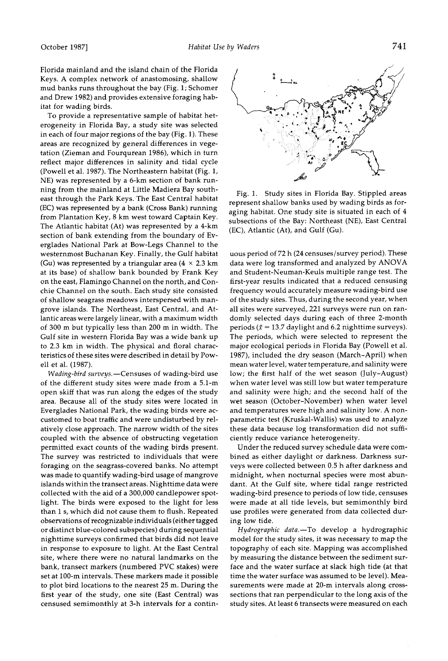**Florida mainland and the island chain of the Florida Keys. A complex network of anastomosing, shallow mud banks runs throughout the bay (Fig. 1; Schomer and Drew 1982) and provides extensive foraging habitat for wading birds.** 

**To provide a representative sample of habitat heterogeneity in Florida Bay, a study site was selected in each of four major regions of the bay (Fig. 1). These areas are recognized by general differences in vegetation (Zieman and Fourqurean 1986), which in turn reflect major differences in salinity and tidal cycle (Powell et al. 1987). The Northeastern habitat (Fig. 1,**  NE) was represented by a 6-km section of bank run**ning from the mainland at Little Madiera Bay southeast through the Park Keys. The East Central habitat (EC) was represented by a bank (Cross Bank) running from Plantation Key, 8 km west toward Captain Key.**  The Atlantic habitat (At) was represented by a 4-km **section of bank extending from the boundary of Everglades National Park at Bow-Legs Channel to the westernmost Buchanan Key. Finally, the Gulf habitat**  (Gu) was represented by a triangular area  $(4 \times 2.3 \text{ km})$ **at its base) of shallow bank bounded by Frank Key on the east, Flamingo Channel on the north, and Conchie Channel on the south. Each study site consisted of shallow seagrass meadows interspersed with mangrove islands. The Northeast, East Central, and Atlantic areas were largely linear, with a maximum width of 300 m but typically less than 200 m in width. The Gulf site in western Florida Bay was a wide bank up to 2.3 km in width. The physical and floral characteristics of these sites were described in detail by Powell et al. (1987).** 

Wading-bird surveys. - Censuses of wading-bird use **of the different study sites were made from a 5.1-m open skiff that was run along the edges of the study area. Because all of the study sites were located in Everglades National Park, the wading birds were accustomed to boat traffic and were undisturbed by relatively close approach. The narrow width of the sites coupled with the absence of obstructing vegetation permitted exact counts of the wading birds present. The survey was restricted to individuals that were foraging on the seagrass-covered banks. No attempt was made to quantify wading-bird usage of mangrove islands within the transect areas. Nighttime data were collected with the aid of a 300,000 candlepower spotlight. The birds were exposed to the light for less than 1 s, which did not cause them to flush. Repeated observations of recognizable individuals (either tagged or distinct blue-colored subspecies) during sequential nighttime surveys confirmed that birds did not leave in response to exposure to light. At the East Central site, where there were no natural landmarks on the bank, transect markers (numbered PVC stakes) were set at 100-m intervals. These markers made it possible to plot bird locations to the nearest 25 m. During the first year of the study, one site (East Central) was censused semimonthly at 3-h intervals for a contin-**



**Fig. 1. Study sites in Florida Bay. Stippled areas represent shallow banks used by wading birds as foraging habitat. One study site is situated in each of 4 subsections of the Bay: Northeast (NE), East Central (EC), Atlantic (At), and Gulf (Gu).** 

**uous period of 72 h (24 censuses/survey period). These data were log transformed and analyzed by ANOVA and Student-Neuman-Keuls multiple range test. The first-year results indicated that a reduced censusing frequency would accurately measure wading-bird use of the study sites. Thus, during the second year, when all sites were surveyed, 221 surveys were run on randomly selected days during each of three 2-month**  periods  $(\bar{x} = 13.7 \text{ daylight} and 6.2 \text{ nighttime surveys}).$ **The periods, which were selected to represent the major ecological periods in Florida Bay (Powell et al. 1987), included the dry season (March-April) when mean water level, water temperature, and salinity were low; the first half of the wet season (July-August) when water level was still low but water temperature and salinity were high; and the second half of the wet season (October-November) when water level and temperatures were high and salinity low. A nonparametric test (Kruskal-Wallis) was used to analyze these data because log transformation did not sufficiently reduce variance heterogeneity.** 

**Under the reduced survey schedule data were combined as either daylight or darkness. Darkness surveys were collected between 0.5 h after darkness and midnight, when nocturnal species were most abundant. At the Gulf site, where tidal range restricted wading-bird presence to periods of low tide, censuses were made at all tide levels, but semimonthly bird use profiles were generated from data collected during low tide.** 

**Hydrographic data.--To develop a hydrographic model for the study sites, it was necessary to map the topography of each site. Mapping was accomplished by measuring the distance between the sediment surface and the water surface at slack high tide (at that time the water surface was assumed to be level). Measurements were made at 20-m intervals along crosssections that ran perpendicular to the long axis of the study sites. At least 6 transects were measured on each**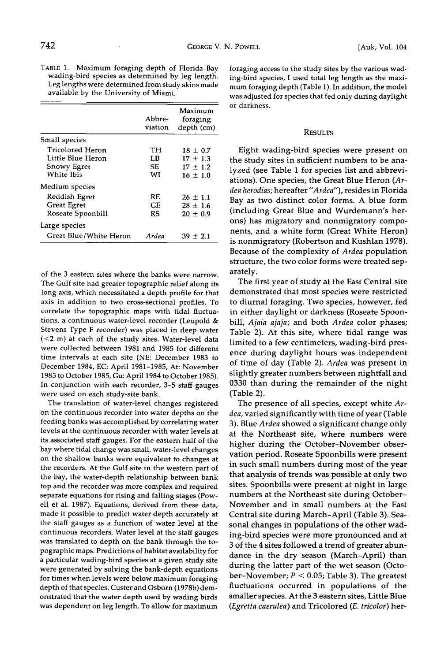**TABLE 1. Maximum foraging depth of Florida Bay wading-bird species as determined by leg length. Leg lengths were determined from study skins made available by the University of Miami.** 

|                                                                    | Abbre-<br>viation     | Maximum<br>foraging<br>depth (cm)                      |
|--------------------------------------------------------------------|-----------------------|--------------------------------------------------------|
| Small species                                                      |                       |                                                        |
| Tricolored Heron<br>Little Blue Heron<br>Snowy Egret<br>White Ibis | TH<br>LВ<br>SE<br>WI  | $18 \pm 0.7$<br>$17 + 1.3$<br>$17 + 1.2$<br>$16 + 1.0$ |
| Medium species                                                     |                       |                                                        |
| Reddish Egret<br>Great Egret<br>Roseate Spoonbill                  | RE<br>GE<br><b>RS</b> | $26 \pm 1.1$<br>$28 \pm 1.6$<br>$20 \pm 0.9$           |
| Large species<br>Great Blue/White Heron                            | Ardea                 | $39 + 2.1$                                             |

**of the 3 eastern sites where the banks were narrow. The Gulf site had greater topographic relief along its long axis, which necessitated a depth profile for that axis in addition to two cross-sectional profiles. To correlate the topographic maps with tidal fluctuations, a continuous water-level recorder (Leupold & Stevens Type F recorder) was placed in deep water (<2 m) at each of the study sites. Water-level data were collected between 1981 and 1985 for different time intervals at each site (NE: December 1983 to December 1984, EC: April 1981-1985, At: November 1983 to October 1985, Gu: April 1984 to October 1985). In conjunction with each recorder, 3-5 staff gauges were used on each study-site bank.** 

**The translation of water-level changes registered on the continuous recorder into water depths on the feeding banks was accomplished by correlating water levels at the continuous recorder with water levels at its associated staff gauges. For the eastern half of the bay where tidal change was small, water-level changes on the shallow banks were equivalent to changes at the recorders. At the Gulf site in the western part of the bay, the water-depth relationship between bank top and the recorder was more complex and required separate equations for rising and falling stages (Powell et al. 1987). Equations, derived from these data, made it possible to predict water depth accurately at the staff gauges as a function of water level at the continuous recorders. Water level at the staff gauges was translated to depth on the bank through the topographic maps. Predictions of habitat availability for a particular wading-bird species at a given study site were generated by solving the bank-depth equations for times when levels were below maximum foraging depth of that species. Custer and Osborn (1978b) demonstrated that the water depth used by wading birds was dependent on leg length. To allow for maximum** 

**foraging access to the study sites by the various wading-bird species, Iused total leg length as the maximum foraging depth (Table 1). In addition, the model was adjusted for species that fed only during daylight or darkness.** 

#### **RESULTS**

**Eight wading-bird species were present on the study sites in sufficient numbers to be analyzed (see Table 1 for species list and abbreviations). One species, the Great Blue Heron (Ardea herodias; hereafter "Ardea"), resides in Florida Bay as two distinct color forms. A blue form (including Great Blue and Wurdemann's herons) has migratory and nonmigratory components, and a white form (Great White Heron) is nonmigratory (Robertson and Kushlan 1978). Because of the complexity of Ardea population structure, the two color forms were treated separately.** 

**The first year of study at the East Central site demonstrated that most species were restricted to diurnal foraging. Two species, however, fed in either daylight or darkness (Roseate Spoonbill, Ajaia ajaja; and both Ardea color phases; Table 2). At this site, where tidal range was limited to a few centimeters, wading-bird presence during daylight hours was independent of time of day (Table 2). Ardea was present in slightly greater numbers between nightfall and 0330 than during the remainder of the night (Table 2).** 

**The presence of all species, except white Ardea, varied significantly with time of year (Table 3). Blue Ardea showed a significant change only at the Northeast site, where numbers were higher during the October-November observation period. Roseate Spoonbills were present in such small numbers during most of the year that analysis of trends was possible at only two sites. Spoonbills were present at night in large numbers at the Northeast site during October-November and in small numbers at the East Central site during March-April (Table 3). Seasonal changes in populations of the other wading-bird species were more pronounced and at 3 of the 4 sites followed a trend of greater abundance in the dry season (March-April) than during the latter part of the wet season (October-November; P < 0.05; Table 3). The greatest fluctuations occurred in populations of the smaller species. At the 3 eastern sites, Little Blue (Egretta caerulea) and Tricolored (E. tricolor) her-**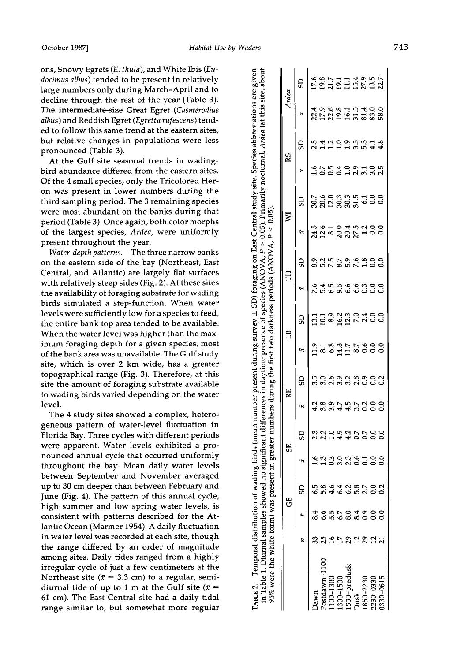**ons, Snowy Egrets (E. thula), and White Ibis (Eudocimus albus) tended to be present in relatively large numbers only during March-April and to decline through the rest of the year (Table 3). The intermediate-size Great Egret (Casmerodius albus) and Reddish Egret (Egretta rufescens) tended to follow this same trend at the eastern sites, but relative changes in populations were less pronounced (Table 3).** 

**At the Gulf site seasonal trends in wadingbird abundance differed from the eastern sites. Of the 4 small species, only the Tricolored Heron was present in lower numbers during the third sampling period. The 3 remaining species were most abundant on the banks during that period (Table 3). Once again, both color morphs of the largest species, Ardea, were uniformly present throughout the year.** 

Water-depth patterns.-The three narrow banks **on the eastern side of the bay (Northeast, East Central, and Atlantic) are largely flat surfaces with relatively steep sides (Fig. 2). At these sites the availability of foraging substrate for wading birds simulated a step-function. When water levels were sufficiently low for a species to feed, the entire bank top area tended to be available. When the water level was higher than the maximum foraging depth for a given species, most of the bank area was unavailable. The Gulf study site, which is over 2 km wide, has a greater topographical range (Fig. 3). Therefore, at this site the amount of foraging substrate available to wading birds varied depending on the water level.** 

**The 4 study sites showed a complex, heterogeneous pattern of water-level fluctuation in Florida Bay. Three cycles with different periods were apparent. Water levels exhibited a pronounced annual cycle that occurred uniformly throughout the bay. Mean daily water levels between September and November averaged up to 30 cm deeper than between February and June (Fig. 4). The pattern of this annual cycle, high summer and low spring water levels, is consistent with patterns described for the Atlantic Ocean (Marmer 1954). A daily fluctuation in water level was recorded at each site, though the range differed by an order of magnitude among sites. Daily tides ranged from a highly irregular cycle of just a few centimeters at the**  Northeast site  $(\bar{x} = 3.3 \text{ cm})$  to a regular, semidiurnal tide of up to 1 m at the Gulf site  $(\bar{x} =$ **61 cm). The East Central site had a daily tidal range similar to, but somewhat more regular** 

| 95% were the white form) was presen |                |                   |         |                        |                    |                |              | numbers during the first two darkness periods (ANOVA, $P < 0.05$ ) |                      |                  |        |                              |                                                  |                       |              |       |                                |
|-------------------------------------|----------------|-------------------|---------|------------------------|--------------------|----------------|--------------|--------------------------------------------------------------------|----------------------|------------------|--------|------------------------------|--------------------------------------------------|-----------------------|--------------|-------|--------------------------------|
|                                     |                |                   | 5       |                        | 9                  | RE             |              | Ë                                                                  |                      | H                |        |                              | Σ                                                | RS                    |              | Ardea |                                |
|                                     |                | IŞ.               |         | Ř                      | ဌ                  | ž              | ဌ            | ž                                                                  | සූ                   | ĸ                | ç      | برا                          | 9                                                | برا                   |              | ž     |                                |
| lawn                                |                |                   |         |                        |                    |                |              |                                                                    |                      |                  |        | $\overline{4}$               |                                                  |                       |              |       |                                |
| ostdawn-1100                        |                |                   | 88<br>5 |                        |                    |                |              |                                                                    |                      |                  |        | 2.6                          |                                                  |                       |              |       |                                |
| 100-1300                            | $\frac{6}{1}$  |                   | 4.6     |                        | ੁ                  |                | 2.6          |                                                                    |                      |                  |        | $\overline{\phantom{0}}$     |                                                  |                       |              |       |                                |
| 300-1530                            |                |                   | 6.4     |                        | ؽ                  |                | 3.9          |                                                                    | $\frac{2}{6}$        |                  |        | 0 <del>1</del><br>2015<br>25 |                                                  | $0.4$<br>1.0          |              |       |                                |
| 530-predusk                         | 29             | 8.0               | 6.2     |                        |                    |                |              | 14.3<br>11.7                                                       | 23                   |                  |        |                              |                                                  |                       |              |       |                                |
| husk                                | $\overline{1}$ |                   |         |                        |                    |                |              |                                                                    |                      |                  |        |                              |                                                  |                       |              |       |                                |
| 1850-2230                           | 29             | 8.4               | 5.2020  | $0.9 - 0.0$<br>$0.000$ | $15500$<br>$15500$ |                | 8902<br>2000 | <b>23000</b><br>2000                                               |                      | conoco<br>cococo | 0.8000 | 1.2                          | 5 9 9 9 9 9 9 9 0 9<br>និង 1 មិន ក្ដី ក្ដី ១ ១ ១ | 0<br>2.5.0.5<br>2.5.1 | 3314<br>3514 |       | es<br>DANEITRATA<br>DANEITRATA |
| 2230-0330                           |                | $\overline{0}$ .0 |         |                        |                    |                |              |                                                                    | $\frac{4}{20}$ 0 0 0 |                  |        |                              |                                                  |                       |              |       |                                |
| 0330-0615                           |                | $\overline{0}$ .  |         |                        |                    | $\overline{0}$ |              |                                                                    |                      |                  |        |                              |                                                  |                       |              |       |                                |

TABLE 2. Temporal distribution of wading birds (mean number present during survey  $\pm$  SD) foraging on East Central study site. Species abbreviations are given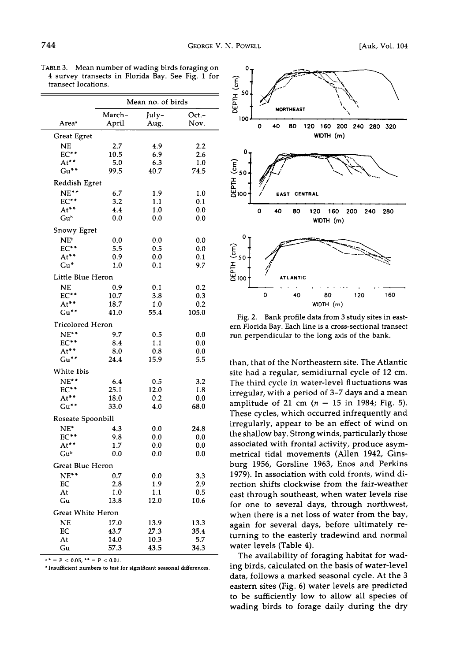|                   |          | Mean no. of birds |          |
|-------------------|----------|-------------------|----------|
|                   | March-   | July-             | Oct.-    |
| Area <sup>a</sup> | April    | Aug.              | Nov.     |
| Great Egret       |          |                   |          |
| ΝE                | 2.7      | 4.9               | 2.2      |
| $EC**$            | 10.5     | 6.9               | 2.6      |
| $At***$           | 5.0      | 6.3               | 1.0      |
| Gu**              | 99.5     | 40.7              | 74.5     |
| Reddish Egret     |          |                   |          |
| $NE^{**}$         | 6.7      | 1.9               | 1.0      |
| $EC**$            | 3.2      | 1.1               | 0.1      |
| $At***$           | 4.4      | 1.0               | 0.0      |
| Gu <sup>b</sup>   | $_{0.0}$ | 0.0               | 0.0      |
| Snowy Egret       |          |                   |          |
| NE <sup>b</sup>   | 0.0      | 0.0               | 0.0      |
| $EC**$            | 5.5      | 0.5               | 0.0      |
| $At***$           | 0.9      | 0.0               | 0.1      |
| $Gu*$             | 1.0      | 0.1               | 9.7      |
| Little Blue Heron |          |                   |          |
| NE                | 0.9      | 0.1               | 0.2      |
| $EC**$            | 10.7     | 3.8               | 0.3      |
| $At***$           | 18.7     | 1.0               | 0.2      |
| $Gu**$            | 41.0     | 55.4              | 105.0    |
| Tricolored Heron  |          |                   |          |
| $NE**$            | 9.7      | 0.5               | $_{0.0}$ |
| $EC**$            | 8.4      | 1.1               | 0.0      |
| $At***$           | 8.0      | 0.8               | 0.0      |
| Gu**              | 24.4     | 15.9              | 5.5      |
| White Ibis        |          |                   |          |
| $NE***$           | 6.4      | 0.5               | 3.2      |
| $EC**$            | 25.1     | 12.0              | 1.8      |
| $At***$           | 18.0     | 0.2               | 0.0      |
| $Gu***$           | 33.0     | 4.0               | 68.0     |
| Roseate Spoonbill |          |                   |          |
| $NE^*$            | 4.3      | 0.0               | 24.8     |
| $EC**$            | 9.8      | 0.0               | 0.0      |
| $At***$           | 1.7      | 0.0               | 0.0      |
| Gub               | $_{0.0}$ | 0.0               | 0.0      |
| Great Blue Heron  |          |                   |          |
| $NE**$            | 0.7      | 0.0               | 3.3      |
| EC                | 2.8      | 1.9               | 2.9      |
| At                | 1.0      | 1.1               | 0.5      |
| Gu                | 13.8     | 12.0              | 10.6     |
| Great White Heron |          |                   |          |
| <b>NE</b>         | 17.0     | 13.9              | 13.3     |
| EC                | 43.7     | 27.3              | 35.4     |
| At                | 14.0     | 10.3              | 5.7      |
| Gu                | 57.3     | 43.5              | 34.3     |

TABLE 3. Mean number of wading birds foraging on **4 survey transects in Florida Bay. See Fig. 1 for transect locations.** 

 $\cdot$  \* = P < 0.05, \*\* = P < 0.01.

**Insufficient numbers to test for significant seasonal differences.** 



**Fig. 2. Bank profile data from 3 study sites in eastern Florida Bay. Each line is a cross-sectional transect run perpendicular to the long axis of the bank.** 

**than, that of the Northeastern site. The Atlantic site had a regular, semidiurnal cycle of 12 cm. The third cycle in water-level fluctuations was irregular, with a period of 3-7 days and a mean**  amplitude of 21 cm ( $n = 15$  in 1984; Fig. 5). **These cycles, which occurred infrequently and irregularly, appear to be an effect of wind on the shallow bay. Strong winds, particularly those associated with frontal activity, produce asymmetrical tidal movements (Allen 1942, Ginsburg 1956, Gorsline 1963, Enos and Perkins 1979). In association with cold fronts, wind direction shifts clockwise from the fair-weather east through southeast, when water levels rise for one to several days, through northwest, when there is a net loss of water from the bay, again for several days, before ultimately returning to the easterly tradewind and normal water levels (Table 4).** 

**The availability of foraging habitat for wading birds, calculated on the basis of water-level data, follows a marked seasonal cycle. At the 3 eastern sites (Fig. 6) water levels are predicted to be sufficiently low to allow all species of wading birds to forage daily during the dry**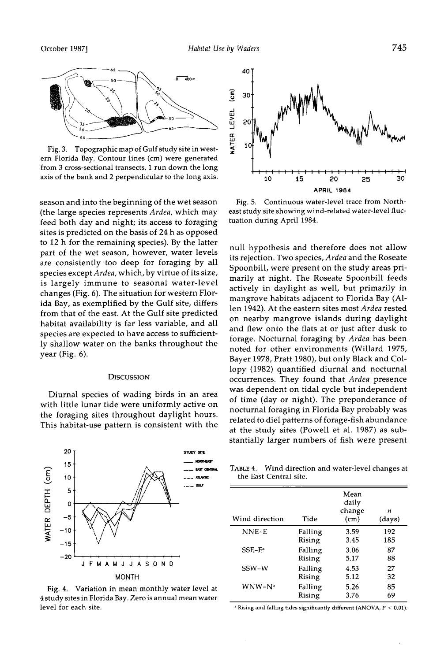

**ern Florida Bay. Contour lines (cm) were generated from 3 cross-sectional transects, 1 run down the long .......................** 

**season and into the beginning of the wet season (the large species represents Ardea, which may feed both day and night; its access to foraging sites is predicted on the basis of 24 h as opposed to 12 h for the remaining species). By the latter part of the wet season, however, water levels are consistently too deep for foraging by all species except Ardea, which, by virtue of its size, is largely immune to seasonal water-level changes (Fig. 6). The situation for western Florida Bay, as exemplified by the Gulf site, differs from that of the east. At the Gulf site predicted habitat availability is far less variable, and all species are expected to have access to sufficiently shallow water on the banks throughout the year (Fig. 6).** 

#### **DISCUSSION**

**Diurnal species of wading birds in an area with little lunar tide were uniformly active on the foraging sites throughout daylight hours. This habitat-use pattern is consistent with the** 



**Fig. 4. Variation in mean monthly water level at 4 study sites in Florida Bay. Zero is annual mean water level for each site.** 



**Fig. 5. Continuous water-level trace from Northeast study site showing wind-related water-level fluctuation during April 1984.** 

**null hypothesis and therefore does not allow its rejection. Two species, Ardea and the Roseate Spoonbill, were present on the study areas primarily at night. The Roseate Spoonbill feeds actively in daylight as well, but primarily in mangrove habitats adjacent to Florida Bay (Allen 1942). At the eastern sites most Ardea rested on nearby mangrove islands during daylight and flew onto the flats at or just after dusk to forage. Nocturnal foraging by Ardea has been noted for other environments (Willard 1975, Bayer 1978, Pratt 1980), but only Black and Collopy (1982) quantified diurnal and nocturnal occurrences. They found that Ardea presence was dependent on tidal cycle but independent of time (day or night). The preponderance of nocturnal foraging in Florida Bay probably was related to diel patterns of forage-fish abundance at the study sites (Powell et al. 1987) as substantially larger numbers of fish were present** 

**TABLE 4. Wind direction and water-level changes at the East Central site.** 

| Wind direction | Tide    | Mean<br>daily<br>change<br>(cm) | п<br>(days) |
|----------------|---------|---------------------------------|-------------|
| NNE-E          | Falling | 3.59                            | 192         |
|                | Rising  | 3.45                            | 185         |
| $SSE-Fa$       | Falling | 3.06                            | 87          |
|                | Rising  | 5.17                            | 88          |
| SSW-W          | Falling | 4.53                            | 27          |
|                | Rising  | 5.12                            | 32          |
| $WNW-N^a$      | Falling | 5.26                            | 85          |
|                | Rising  | 3.76                            | 69          |

**Rising and falling tides significantly different (ANOVA, P < 0.01).**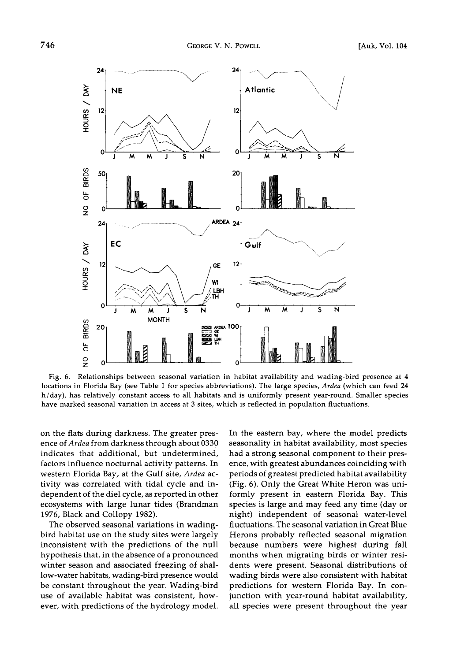

**Fig. 6. Relationships between seasonal variation in habitat availability and wading-bird presence at 4 locations in Florida Bay (see Table 1 for species abbreviations). The large species, Ardea (which can feed 24 h/day), has relatively constant access to all habitats and is uniformly present year-round. Smaller species have marked seasonal variation in access at 3 sites, which is reflected in population fluctuations.** 

**on the flats during darkness. The greater presence of Ardea from darkness through about 0330 indicates that additional, but undetermined, factors influence nocturnal activity patterns. In western Florida Bay, at the Gulf site, Ardea activity was correlated with tidal cycle and independent of the diel cycle, as reported in other ecosystems with large lunar tides (Brandman 1976, Black and Collopy 1982).** 

**The observed seasonal variations in wadingbird habitat use on the study sites were largely inconsistent with the predictions of the null hypothesis that, in the absence of a pronounced winter season and associated freezing of shallow-water habitats, wading-bird presence would be constant throughout the year. Wading-bird use of available habitat was consistent, however, with predictions of the hydrology model.** 

**In the eastern bay, where the model predicts seasonality in habitat availability, most species had a strong seasonal component to their presence, with greatest abundances coinciding with periods of greatest predicted habitat availability (Fig. 6). Only the Great White Heron was uniformly present in eastern Florida Bay. This species is large and may feed any time (day or night) independent of seasonal water-level fluctuations. The seasonal variation in Great Blue Herons probably reflected seasonal migration because numbers were highest during fall months when migrating birds or winter residents were present. Seasonal distributions of wading birds were also consistent with habitat predictions for western Florida Bay. In conjunction with year-round habitat availability, all species were present throughout the year**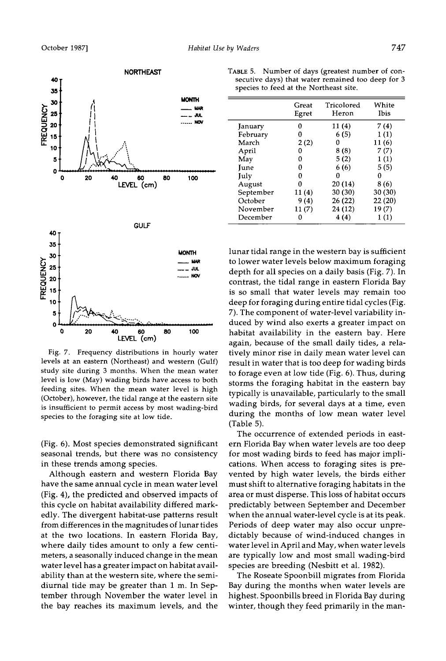

**Fig. 7. Frequency distributions in hourly water levels at an eastern (Northeast) and western (Gulf) study site during 3 months. When the mean water level is low (May) wading birds have access to both feeding sites. When the mean water level is high (October), however, the tidal range at the eastern site is insufficient to permit access by most wading-bird species to the foraging site at low tide.** 

**(Fig. 6). Most species demonstrated significant seasonal trends, but there was no consistency in these trends among species.** 

**Although eastern and western Florida Bay have the same annual cycle in mean water level (Fig. 4), the predicted and observed impacts of this cycle on habitat availability differed markedly. The divergent habitat-use patterns result from differences in the magnitudes of lunar tides at the two locations. In eastern Florida Bay, where daily tides amount to only a few centimeters, a seasonally induced change in the mean water level has a greater impact on habitat availability than at the western site, where the semidiurnal tide may be greater than 1 m. In September through November the water level in the bay reaches its maximum levels, and the** 

**TABLE 5. Number of days (greatest number of consecutive days) that water remained too deep for 3 species to feed at the Northeast site.** 

|           | Great<br>Egret | Tricolored<br>Heron | White<br>Ibis |
|-----------|----------------|---------------------|---------------|
| January   | 0              | 11(4)               | 7(4)          |
| February  | 0              | 6(5)                | 1(1)          |
| March     | 2(2)           | 0                   | 11(6)         |
| April     | 0              | 8(8)                | 7(7)          |
| May       | O              | 5(2)                | 1(1)          |
| June      | 0              | 6(6)                | 5(5)          |
| July      | o              | 0                   | 0             |
| August    | O              | 20(14)              | 8(6)          |
| September | 11(4)          | 30(30)              | 30(30)        |
| October   | 9(4)           | 26 (22)             | 22 (20)       |
| November  | 11(7)          | 24 (12)             | 19(7)         |
| December  | O              | 4(4)                | 1(1)          |

**lunar tidal range in the western bay is sufficient to lower water levels below maximum foraging depth for all species on a daily basis (Fig. 7). In contrast, the tidal range in eastern Florida Bay is so small that water levels may remain too deep for foraging during entire tidal cycles (Fig. 7). The component of water-level variability induced by wind also exerts a greater impact on habitat availability in the eastern bay. Here again, because of the small daily tides, a relatively minor rise in daily mean water level can result in water that is too deep for wading birds to forage even at low tide (Fig. 6). Thus, during storms the foraging habitat in the eastern bay typically is unavailable, particularly to the small wading birds, for several days at a time, even during the months of low mean water level (Table 5).** 

**The occurrence of extended periods in eastern Florida Bay when water levels are too deep for most wading birds to feed has major implications. When access to foraging sites is prevented by high water levels, the birds either must shift to alternative foraging habitats in the area or must disperse. This loss of habitat occurs predictably between September and December when the annual water-level cycle is at its peak. Periods of deep water may also occur unpredictably because of wind-induced changes in water level in April and May, when water levels are typically low and most small wading-bird species are breeding (Nesbitt et al. 1982).** 

**The Roseate Spoonbill migrates from Florida Bay during the months when water levels are highest. Spoonbills breed in Florida Bay during winter, though they feed primarily in the man-**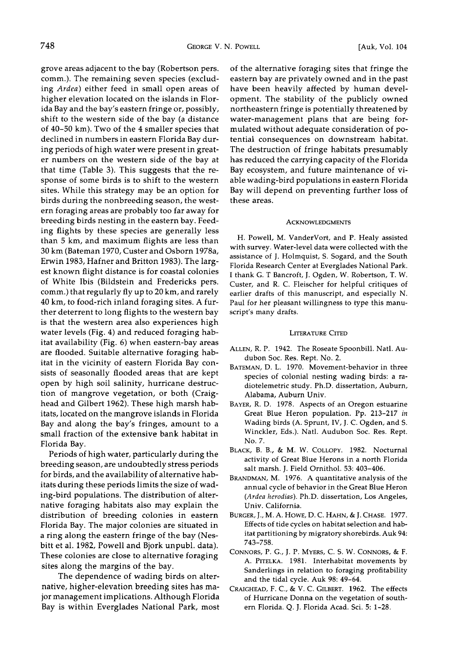**grove areas adjacent to the bay (Robertson pers. comm.). The remaining seven species (excluding Ardea) either feed in small open areas of higher elevation located on the islands in Florida Bay and the bay's eastern fringe or, possibly, shift to the western side of the bay (a distance of 40-50 km). Two of the 4 smaller species that declined in numbers in eastern Florida Bay during periods of high water were present in greater numbers on the western side of the bay at that time (Table 3). This suggests that the response of some birds is to shift to the western sites. While this strategy may be an option for birds during the nonbreeding season, the western foraging areas are probably too far away for breeding birds nesting in the eastern bay. Feeding flights by these species are generally less than 5 km, and maximum flights are less than 30 km (Bateman 1970, Custer and Osborn 1978a, Erwin 1983, Hafner and Britton 1983). The largest known flight distance is for coastal colonies of White Ibis (Bildstein and Fredericks pers. comm.) that regularly fly up to 20 km, and rarely 40 km, to food-rich inland foraging sites. A further deterrent to long flights to the western bay is that the western area also experiences high water levels (Fig. 4) and reduced foraging habitat availability (Fig. 6) when eastern-bay areas are flooded. Suitable alternative foraging habitat in the vicinity of eastern Florida Bay consists of seasonally flooded areas that are kept open by high soil salinity, hurricane destruction of mangrove vegetation, or both (Craighead and Gilbert 1962). These high marsh habitats, located on the mangrove islands in Florida Bay and along the bay's fringes, amount to a small fraction of the extensive bank habitat in Florida Bay.** 

**Periods of high water, particularly during the breeding season, are undoubtedly stress periods for birds, and the availability of alternative habitats during these periods limits the size of wading-bird populations. The distribution of alternative foraging habitats also may explain the distribution of breeding colonies in eastern Florida Bay. The major colonies are situated in a ring along the eastern fringe of the bay (Nes**bitt et al. 1982, Powell and Bjork unpubl. data). **These colonies are close to alternative foraging sites along the margins of the bay.** 

**The dependence of wading birds on alternative, higher-elevation breeding sites has major management implications. Although Florida Bay is within Everglades National Park, most**  **of the alternative foraging sites that fringe the eastern bay are privately owned and in the past have been heavily affected by human development. The stability of the publicly owned northeastern fringe is potentially threatened by water-management plans that are being formulated without adequate consideration of potential consequences on downstream habitat. The destruction of fringe habitats presumably has reduced the carrying capacity of the Florida Bay ecosystem, and future maintenance of viable wading-bird populations in eastern Florida Bay will depend on preventing further loss of these areas.** 

#### **ACKNOWLEDGMENTS**

**H. Powell, M. VanderVort, and P. Healy assisted with survey. Water-level data were collected with the assistance of J. Holmquist, S. Sogard, and the South Florida Research Center at Everglades National Park. I thank G. T Bancroft, J. Ogden, W. Robertson, T. W. Custer, and R. C. Fleischer for helpful critiques of earlier drafts of this manuscript, and especially N. Paul for her pleasant willingness to type this manuscript's many drafts.** 

#### **LITERATURE CITED**

- **ALLEN, R.P. 1942. The Roseate Spoonbill. Natl. Audubon Soc. Res. Rept. No. 2.**
- **BATEMAN, D. L. 1970. Movement-behavior in three species of colonial nesting wading birds: a radiotelemetric study. Ph.D. dissertation, Auburn, Alabama, Auburn Univ.**
- **BAYER, R. D. 1978. Aspects of an Oregon estuarine Great Blue Heron population. Pp. 213-217 in Wading birds (A. Sprunt, IV, J. C. Ogden, and S. Winckler, Eds.). Natl. Audubon Soc. Res. Rept. No. 7.**
- **BLACK, B. B., & M. W. COLLOPY. 1982. Nocturnal activity of Great Blue Herons in a north Florida salt marsh. J. Field Ornithol. 53: 403-406.**
- **BRANDMAN, M. 1976. A quantitative analysis of the annual cycle of behavior in the Great Blue Heron (Ardea herodias). Ph.D. dissertation, Los Angeles, Univ. California.**
- **BURGER, J., M. A. HOWE, D.C. HAHN, & J. CHASE. 1977. Effects of tide cycles on habitat selection and habitat partitioning by migratory shorebirds. Auk 94: 743-758.**
- CONNORS, P. G., J. P. MYERS, C. S. W. CONNORS, & F. **A. PITELKA. 1981. Interhabitat movements by Sanderlings in relation to foraging profitability and the tidal cycle. Auk 98: 49-64.**
- **CRAIGHEAD, F. C., & V. C. GILBERT. 1962. The effects of Hurricane Donna on the vegetation of southern Florida. Q. J. Florida Acad. Sci. 5: 1-28.**